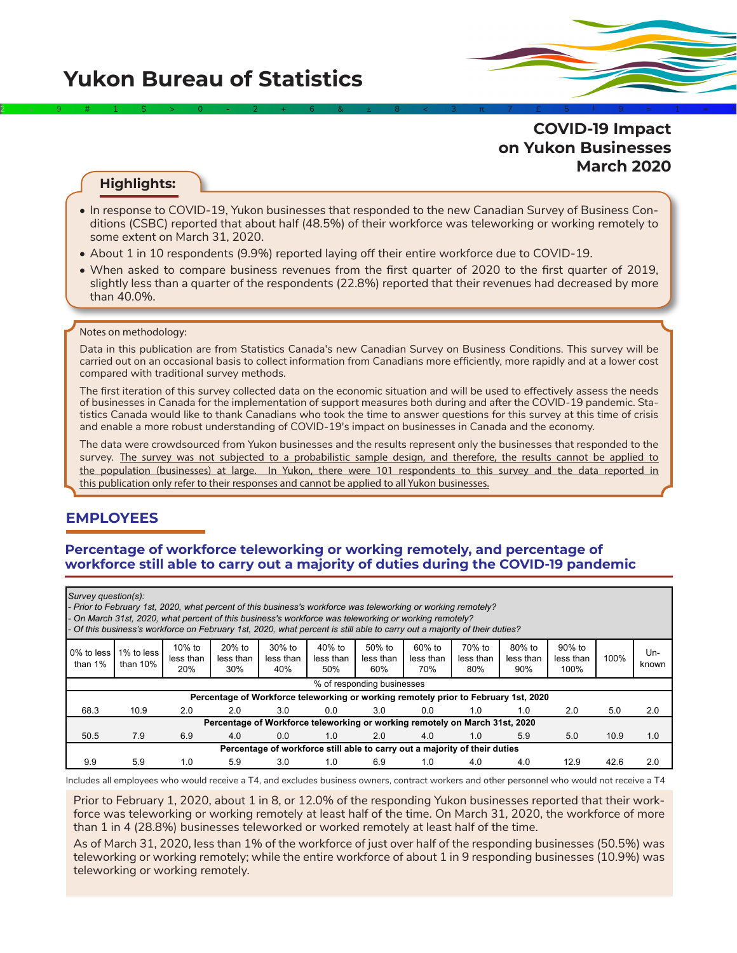# **Yukon Bureau of Statistics**

**COVID-19 Impact on Yukon Businesses March 2020**

#### **Highlights:**

• In response to COVID-19, Yukon businesses that responded to the new Canadian Survey of Business Conditions (CSBC) reported that about half (48.5%) of their workforce was teleworking or working remotely to some extent on March 31, 2020.

2÷9#1\$>0-2+6&±8<3π7£5‡9≈1∞^

- About 1 in 10 respondents (9.9%) reported laying off their entire workforce due to COVID-19.
- When asked to compare business revenues from the first quarter of 2020 to the first quarter of 2019, slightly less than a quarter of the respondents (22.8%) reported that their revenues had decreased by more than 40.0%.

#### Notes on methodology:

Data in this publication are from Statistics Canada's new Canadian Survey on Business Conditions. This survey will be carried out on an occasional basis to collect information from Canadians more efficiently, more rapidly and at a lower cost compared with traditional survey methods.

The first iteration of this survey collected data on the economic situation and will be used to effectively assess the needs of businesses in Canada for the implementation of support measures both during and after the COVID-19 pandemic. Statistics Canada would like to thank Canadians who took the time to answer questions for this survey at this time of crisis and enable a more robust understanding of COVID-19's impact on businesses in Canada and the economy.

The data were crowdsourced from Yukon businesses and the results represent only the businesses that responded to the survey. The survey was not subjected to a probabilistic sample design, and therefore, the results cannot be applied to the population (businesses) at large. In Yukon, there were 101 respondents to this survey and the data reported in this publication only refer to their responses and cannot be applied to all Yukon businesses.

# **EMPLOYEES**

#### **Percentage of workforce teleworking or working remotely, and percentage of workforce still able to carry out a majority of duties during the COVID-19 pandemic**

|                          | Survey question(s):<br>- Prior to February 1st, 2020, what percent of this business's workforce was teleworking or working remotely?<br>- On March 31st, 2020, what percent of this business's workforce was teleworking or working remotely?<br>- Of this business's workforce on February 1st, 2020, what percent is still able to carry out a majority of their duties? |                            |                                                                                     |                                                                            |                              |                               |                            |                            |                            |                             |      |              |
|--------------------------|----------------------------------------------------------------------------------------------------------------------------------------------------------------------------------------------------------------------------------------------------------------------------------------------------------------------------------------------------------------------------|----------------------------|-------------------------------------------------------------------------------------|----------------------------------------------------------------------------|------------------------------|-------------------------------|----------------------------|----------------------------|----------------------------|-----------------------------|------|--------------|
| 0% to less<br>than $1\%$ | 1% to less<br>than $10\%$                                                                                                                                                                                                                                                                                                                                                  | 10% to<br>less than<br>20% | $20%$ to<br>less than<br>30%                                                        | $30\%$ to<br>less than<br>40%                                              | $40%$ to<br>less than<br>50% | $50\%$ to<br>less than<br>60% | 60% to<br>less than<br>70% | 70% to<br>less than<br>80% | 80% to<br>less than<br>90% | 90% to<br>less than<br>100% | 100% | Un-<br>known |
|                          |                                                                                                                                                                                                                                                                                                                                                                            |                            |                                                                                     |                                                                            |                              | % of responding businesses    |                            |                            |                            |                             |      |              |
|                          |                                                                                                                                                                                                                                                                                                                                                                            |                            | Percentage of Workforce teleworking or working remotely prior to February 1st, 2020 |                                                                            |                              |                               |                            |                            |                            |                             |      |              |
| 68.3                     | 10.9                                                                                                                                                                                                                                                                                                                                                                       | 2.0                        | 2.0                                                                                 | 3.0                                                                        | 0.0                          | 3.0                           | 0.0                        | 1.0                        | 1.0                        | 2.0                         | 5.0  | 2.0          |
|                          |                                                                                                                                                                                                                                                                                                                                                                            |                            | Percentage of Workforce teleworking or working remotely on March 31st, 2020         |                                                                            |                              |                               |                            |                            |                            |                             |      |              |
| 50.5                     | 7.9                                                                                                                                                                                                                                                                                                                                                                        | 6.9                        | 4.0                                                                                 | 0.0                                                                        | 1.0                          | 2.0                           | 4.0                        | 1.0                        | 5.9                        | 5.0                         | 10.9 | 1.0          |
|                          |                                                                                                                                                                                                                                                                                                                                                                            |                            |                                                                                     | Percentage of workforce still able to carry out a majority of their duties |                              |                               |                            |                            |                            |                             |      |              |
| 9.9                      | 5.9                                                                                                                                                                                                                                                                                                                                                                        | 1.0                        | 5.9                                                                                 | 3.0                                                                        | 1.0                          | 6.9                           | 1.0                        | 4.0                        | 4.0                        | 12.9                        | 42.6 | 2.0          |

Includes all employees who would receive a T4, and excludes business owners, contract workers and other personnel who would not receive a T4

Prior to February 1, 2020, about 1 in 8, or 12.0% of the responding Yukon businesses reported that their workforce was teleworking or working remotely at least half of the time. On March 31, 2020, the workforce of more than 1 in 4 (28.8%) businesses teleworked or worked remotely at least half of the time.

As of March 31, 2020, less than 1% of the workforce of just over half of the responding businesses (50.5%) was teleworking or working remotely; while the entire workforce of about 1 in 9 responding businesses (10.9%) was teleworking or working remotely.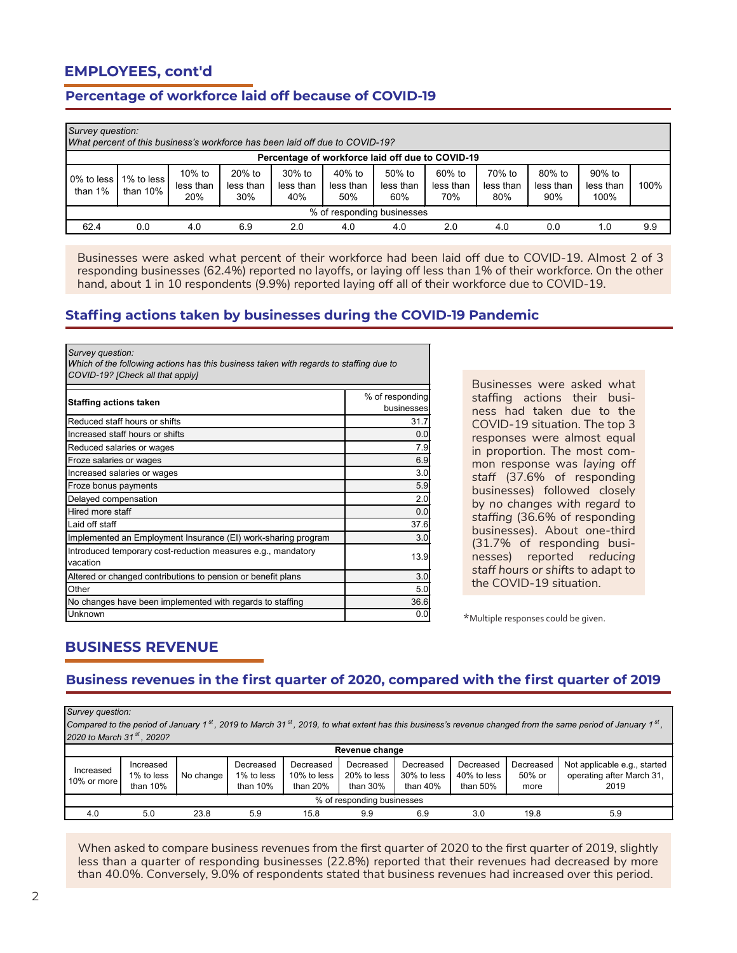# **EMPLOYEES, cont'd**

# **Percentage of workforce laid off because of COVID-19**

|                                                  | Survey question:<br>What percent of this business's workforce has been laid off due to COVID-19? |                               |                            |                               |                               |                               |                            |                            |                            |                             |      |
|--------------------------------------------------|--------------------------------------------------------------------------------------------------|-------------------------------|----------------------------|-------------------------------|-------------------------------|-------------------------------|----------------------------|----------------------------|----------------------------|-----------------------------|------|
| Percentage of workforce laid off due to COVID-19 |                                                                                                  |                               |                            |                               |                               |                               |                            |                            |                            |                             |      |
| 0% to less<br>than $1\%$                         | 1% to less I<br>than 10%                                                                         | $10\%$ to<br>less than<br>20% | 20% to<br>less than<br>30% | $30\%$ to<br>less than<br>40% | $40\%$ to<br>less than<br>50% | $50\%$ to<br>less than<br>60% | 60% to<br>less than<br>70% | 70% to<br>less than<br>80% | 80% to<br>less than<br>90% | 90% to<br>less than<br>100% | 100% |
|                                                  | % of responding businesses                                                                       |                               |                            |                               |                               |                               |                            |                            |                            |                             |      |
| 62.4                                             | 0.0                                                                                              | 4.0                           | 6.9                        | 2.0                           | 4.0                           | 4.0                           | 2.0                        | 4.0                        | 0.0                        | 1.0                         | 9.9  |

Businesses were asked what percent of their workforce had been laid off due to COVID-19. Almost 2 of 3 responding businesses (62.4%) reported no layoffs, or laying off less than 1% of their workforce. On the other hand, about 1 in 10 respondents (9.9%) reported laying off all of their workforce due to COVID-19.

#### **Staffing actions taken by businesses during the COVID-19 Pandemic**

| Survey question:<br>Which of the following actions has this business taken with regards to staffing due to<br>COVID-19? [Check all that apply] |                               |  |  |  |  |  |  |  |
|------------------------------------------------------------------------------------------------------------------------------------------------|-------------------------------|--|--|--|--|--|--|--|
| <b>Staffing actions taken</b>                                                                                                                  | % of responding<br>businesses |  |  |  |  |  |  |  |
| Reduced staff hours or shifts                                                                                                                  | 31.7                          |  |  |  |  |  |  |  |
| Increased staff hours or shifts                                                                                                                | 0.0                           |  |  |  |  |  |  |  |
| Reduced salaries or wages                                                                                                                      | 7.9                           |  |  |  |  |  |  |  |
| Froze salaries or wages                                                                                                                        | 6.9                           |  |  |  |  |  |  |  |
| Increased salaries or wages                                                                                                                    | 3.0                           |  |  |  |  |  |  |  |
| Froze bonus payments                                                                                                                           | 5.9                           |  |  |  |  |  |  |  |
| Delayed compensation                                                                                                                           | 2.0                           |  |  |  |  |  |  |  |
| Hired more staff                                                                                                                               | 0.0                           |  |  |  |  |  |  |  |
| Laid off staff                                                                                                                                 | 37.6                          |  |  |  |  |  |  |  |
| Implemented an Employment Insurance (EI) work-sharing program                                                                                  | 3.0                           |  |  |  |  |  |  |  |
| Introduced temporary cost-reduction measures e.g., mandatory<br>vacation                                                                       | 13.9                          |  |  |  |  |  |  |  |
| Altered or changed contributions to pension or benefit plans                                                                                   | 3.0                           |  |  |  |  |  |  |  |
| Other                                                                                                                                          | 5.0                           |  |  |  |  |  |  |  |
| No changes have been implemented with regards to staffing                                                                                      | 36.6                          |  |  |  |  |  |  |  |
| Unknown                                                                                                                                        | 0.0                           |  |  |  |  |  |  |  |

Businesses were asked what staffing actions their business had taken due to the COVID-19 situation. The top 3 responses were almost equal in proportion. The most common response was *laying off staff* (37.6% of responding businesses) followed closely by *no changes with regard to staffing* (36.6% of responding businesses). About one-third (31.7% of responding businesses) reported *reducing staff hours or shifts* to adapt to the COVID-19 situation.

\*Multiple responses could be given.

# **BUSINESS REVENUE**

#### **Business revenues in the first quarter of 2020, compared with the first quarter of 2019**

*Survey question:*

*Compared to the period of January 1 st , 2019 to March 31 st , 2019, to what extent has this business's revenue changed from the same period of January 1 st , 2020 to March 31 st , 2020?*

|                          | Revenue change                         |           |                                       |                                      |                                         |                                        |                                         |                             |                                                                   |  |
|--------------------------|----------------------------------------|-----------|---------------------------------------|--------------------------------------|-----------------------------------------|----------------------------------------|-----------------------------------------|-----------------------------|-------------------------------------------------------------------|--|
| Increased<br>10% or more | Increased<br>1% to less<br>than $10\%$ | No change | Decreased<br>1% to less<br>than $10%$ | Decreased<br>10% to less<br>than 20% | Decreased<br>20% to less<br>than $30\%$ | Decreased<br>30% to less<br>than $40%$ | Decreased<br>40% to less<br>than $50\%$ | Decreased<br>50% or<br>more | Not applicable e.g., started<br>operating after March 31,<br>2019 |  |
|                          | % of responding businesses             |           |                                       |                                      |                                         |                                        |                                         |                             |                                                                   |  |
| 4.0                      | 5.0                                    | 23.8      | 5.9                                   | 15.8                                 | 9.9                                     | 6.9                                    | 3.0                                     | 19.8                        | 5.9                                                               |  |

When asked to compare business revenues from the first quarter of 2020 to the first quarter of 2019, slightly less than a quarter of responding businesses (22.8%) reported that their revenues had decreased by more than 40.0%. Conversely, 9.0% of respondents stated that business revenues had increased over this period.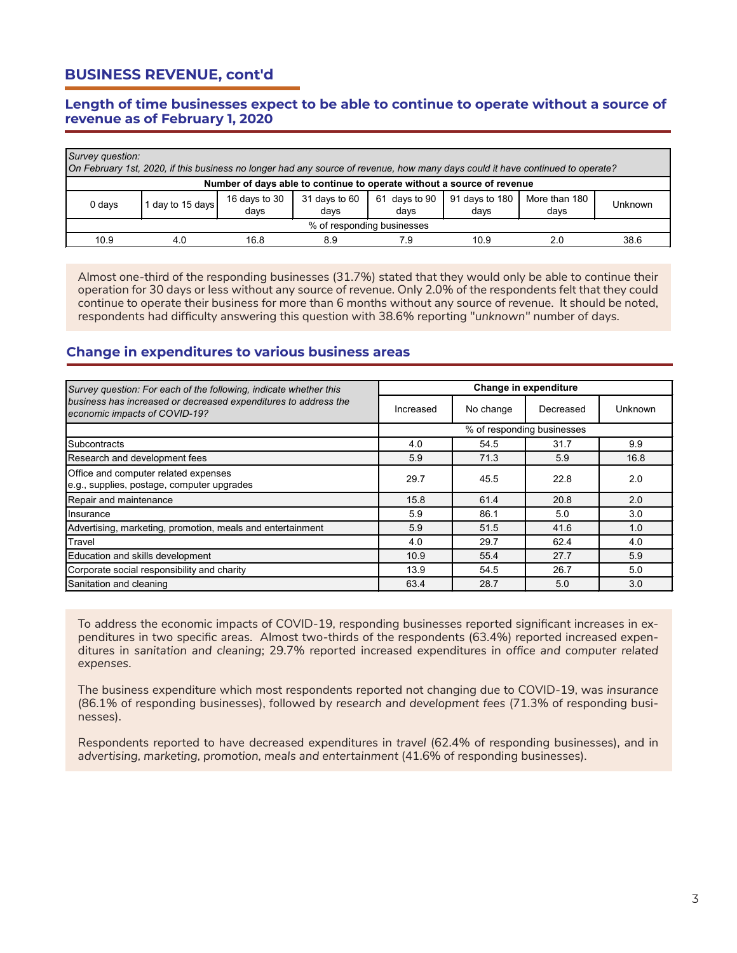# **BUSINESS REVENUE, cont'd**

#### **Length of time businesses expect to be able to continue to operate without a source of revenue as of February 1, 2020**

| Survey question:                                                       | On February 1st, 2020, if this business no longer had any source of revenue, how many days could it have continued to operate? |                       |                       |                       |                        |                       |         |  |  |  |
|------------------------------------------------------------------------|--------------------------------------------------------------------------------------------------------------------------------|-----------------------|-----------------------|-----------------------|------------------------|-----------------------|---------|--|--|--|
| Number of days able to continue to operate without a source of revenue |                                                                                                                                |                       |                       |                       |                        |                       |         |  |  |  |
| 0 days                                                                 | day to 15 days                                                                                                                 | 16 days to 30<br>days | 31 days to 60<br>days | 61 days to 90<br>days | 91 days to 180<br>days | More than 180<br>days | Unknown |  |  |  |
|                                                                        | % of responding businesses                                                                                                     |                       |                       |                       |                        |                       |         |  |  |  |
| 10.9                                                                   | 4.0                                                                                                                            | 16.8                  | 8.9                   | 7.9                   | 10.9                   | 20                    | 38.6    |  |  |  |

Almost one-third of the responding businesses (31.7%) stated that they would only be able to continue their operation for 30 days or less without any source of revenue. Only 2.0% of the respondents felt that they could continue to operate their business for more than 6 months without any source of revenue. It should be noted, respondents had difficulty answering this question with 38.6% reporting "*unknown"* number of days.

#### **Change in expenditures to various business areas**

| Survey question: For each of the following, indicate whether this                                |           |           | Change in expenditure      |         |
|--------------------------------------------------------------------------------------------------|-----------|-----------|----------------------------|---------|
| business has increased or decreased expenditures to address the<br>economic impacts of COVID-19? | Increased | No change | Decreased                  | Unknown |
|                                                                                                  |           |           | % of responding businesses |         |
| <b>Subcontracts</b>                                                                              | 4.0       | 54.5      | 31.7                       | 9.9     |
| Research and development fees                                                                    | 5.9       | 71.3      | 5.9                        | 16.8    |
| Office and computer related expenses<br>e.g., supplies, postage, computer upgrades               | 29.7      | 45.5      | 22.8                       | 2.0     |
| Repair and maintenance                                                                           | 15.8      | 61.4      | 20.8                       | 2.0     |
| Insurance                                                                                        | 5.9       | 86.1      | 5.0                        | 3.0     |
| Advertising, marketing, promotion, meals and entertainment                                       | 5.9       | 51.5      | 41.6                       | 1.0     |
| Travel                                                                                           | 4.0       | 29.7      | 62.4                       | 4.0     |
| Education and skills development                                                                 | 10.9      | 55.4      | 27.7                       | 5.9     |
| Corporate social responsibility and charity                                                      | 13.9      | 54.5      | 26.7                       | 5.0     |
| Sanitation and cleaning                                                                          | 63.4      | 28.7      | 5.0                        | 3.0     |

To address the economic impacts of COVID-19, responding businesses reported significant increases in expenditures in two specific areas. Almost two-thirds of the respondents (63.4%) reported increased expenditures in *sanitation and cleaning*; 29.7% reported increased expenditures in *office and computer related expenses*.

The business expenditure which most respondents reported not changing due to COVID-19, was *insurance* (86.1% of responding businesses), followed by *research and development fees* (71.3% of responding businesses).

Respondents reported to have decreased expenditures in *travel* (62.4% of responding businesses), and in *advertising, marketing, promotion, meals and entertainment* (41.6% of responding businesses).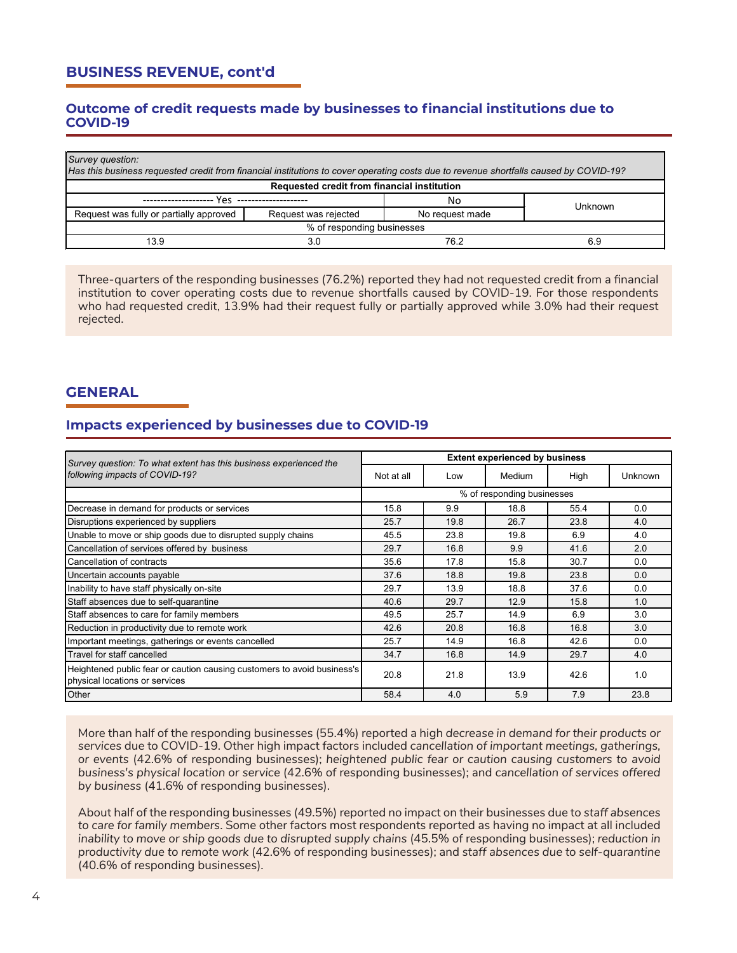# **BUSINESS REVENUE, cont'd**

#### **Outcome of credit requests made by businesses to financial institutions due to COVID-19**

| Survey question:<br>Has this business requested credit from financial institutions to cover operating costs due to revenue shortfalls caused by COVID-19? |                            |                 |         |  |  |  |  |  |
|-----------------------------------------------------------------------------------------------------------------------------------------------------------|----------------------------|-----------------|---------|--|--|--|--|--|
| Requested credit from financial institution                                                                                                               |                            |                 |         |  |  |  |  |  |
| --------------------                                                                                                                                      | Yes --------------------   | No              | Unknown |  |  |  |  |  |
| Request was fully or partially approved                                                                                                                   | Request was rejected       | No request made |         |  |  |  |  |  |
|                                                                                                                                                           | % of responding businesses |                 |         |  |  |  |  |  |
| 13.9                                                                                                                                                      | 30                         | 76.2            | 69      |  |  |  |  |  |

Three-quarters of the responding businesses (76.2%) reported they had not requested credit from a financial institution to cover operating costs due to revenue shortfalls caused by COVID-19. For those respondents who had requested credit, 13.9% had their request fully or partially approved while 3.0% had their request rejected.

# **GENERAL**

#### **Impacts experienced by businesses due to COVID-19**

| Survey question: To what extent has this business experienced the                                         |                            |      | <b>Extent experienced by business</b> |      |                |  |  |
|-----------------------------------------------------------------------------------------------------------|----------------------------|------|---------------------------------------|------|----------------|--|--|
| following impacts of COVID-19?                                                                            | Not at all                 | Low  | Medium                                | High | <b>Unknown</b> |  |  |
|                                                                                                           | % of responding businesses |      |                                       |      |                |  |  |
| Decrease in demand for products or services                                                               | 15.8                       | 9.9  | 18.8                                  | 55.4 | 0.0            |  |  |
| Disruptions experienced by suppliers                                                                      | 25.7                       | 19.8 | 26.7                                  | 23.8 | 4.0            |  |  |
| Unable to move or ship goods due to disrupted supply chains                                               | 45.5                       | 23.8 | 19.8                                  | 6.9  | 4.0            |  |  |
| Cancellation of services offered by business                                                              | 29.7                       | 16.8 | 9.9                                   | 41.6 | 2.0            |  |  |
| Cancellation of contracts                                                                                 | 35.6                       | 17.8 | 15.8                                  | 30.7 | 0.0            |  |  |
| Uncertain accounts payable                                                                                | 37.6                       | 18.8 | 19.8                                  | 23.8 | 0.0            |  |  |
| Inability to have staff physically on-site                                                                | 29.7                       | 13.9 | 18.8                                  | 37.6 | 0.0            |  |  |
| Staff absences due to self-quarantine                                                                     | 40.6                       | 29.7 | 12.9                                  | 15.8 | 1.0            |  |  |
| Staff absences to care for family members                                                                 | 49.5                       | 25.7 | 14.9                                  | 6.9  | 3.0            |  |  |
| Reduction in productivity due to remote work                                                              | 42.6                       | 20.8 | 16.8                                  | 16.8 | 3.0            |  |  |
| Important meetings, gatherings or events cancelled                                                        | 25.7                       | 14.9 | 16.8                                  | 42.6 | 0.0            |  |  |
| Travel for staff cancelled                                                                                | 34.7                       | 16.8 | 14.9                                  | 29.7 | 4.0            |  |  |
| Heightened public fear or caution causing customers to avoid business's<br>physical locations or services | 20.8                       | 21.8 | 13.9                                  | 42.6 | 1.0            |  |  |
| Other                                                                                                     | 58.4                       | 4.0  | 5.9                                   | 7.9  | 23.8           |  |  |

More than half of the responding businesses (55.4%) reported a high *decrease in demand for their products or services* due to COVID-19. Other high impact factors included *cancellation of important meetings, gatherings, or events* (42.6% of responding businesses); *heightened public fear or caution causing customers to avoid business's physical location or service* (42.6% of responding businesses); and *cancellation of services offered by business* (41.6% of responding businesses).

About half of the responding businesses (49.5%) reported no impact on their businesses due to *staff absences to care for family members*. Some other factors most respondents reported as having no impact at all included *inability to move or ship goods due to disrupted supply chains (45.5% of responding businesses); reduction in productivity due to remote work* (42.6% of responding businesses); and *staff absences due to self-quarantine* (40.6% of responding businesses).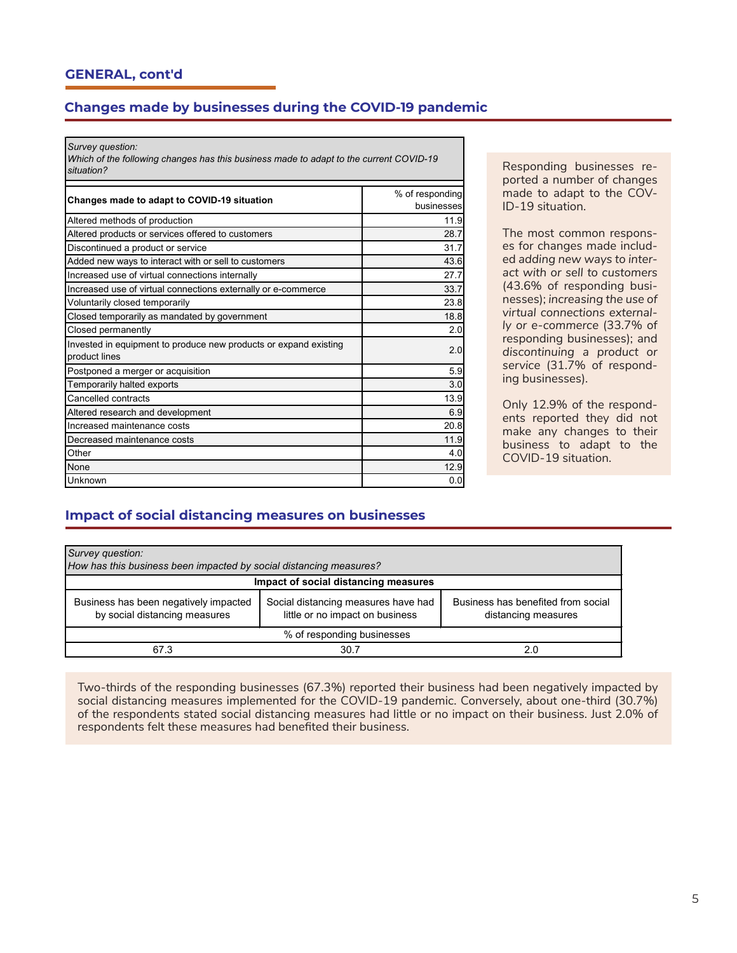# **Changes made by businesses during the COVID-19 pandemic**

*Survey question:*

*Which of the following changes has this business made to adapt to the current COVID-19 situation?*

| Changes made to adapt to COVID-19 situation                                       | % of responding<br>businesses |
|-----------------------------------------------------------------------------------|-------------------------------|
| Altered methods of production                                                     | 11.9                          |
| Altered products or services offered to customers                                 | 28.7                          |
| Discontinued a product or service                                                 | 31.7                          |
| Added new ways to interact with or sell to customers                              | 43.6                          |
| Increased use of virtual connections internally                                   | 27.7                          |
| Increased use of virtual connections externally or e-commerce                     | 33.7                          |
| Voluntarily closed temporarily                                                    | 23.8                          |
| Closed temporarily as mandated by government                                      | 18.8                          |
| Closed permanently                                                                | 2.0                           |
| Invested in equipment to produce new products or expand existing<br>product lines | 2.0                           |
| Postponed a merger or acquisition                                                 | 5.9                           |
| Temporarily halted exports                                                        | 3.0                           |
| Cancelled contracts                                                               | 13.9                          |
| Altered research and development                                                  | 6.9                           |
| Increased maintenance costs                                                       | 20.8                          |
| Decreased maintenance costs                                                       | 11.9                          |
| Other                                                                             | 4.0                           |
| None                                                                              | 12.9                          |
| Unknown                                                                           | 0.0                           |

Responding businesses reported a number of changes made to adapt to the COV-ID-19 situation.

The most common responses for changes made included *adding new ways to interact with or sell to customers*  (43.6% of responding businesses); *increasing the use of virtual connections externally or e-commerce* (33.7% of responding businesses); and *discontinuing a product or service* (31.7% of responding businesses).

Only 12.9% of the respondents reported they did not make any changes to their business to adapt to the COVID-19 situation.

#### **Impact of social distancing measures on businesses**

| Survey question:<br>How has this business been impacted by social distancing measures? |                                                                        |                                                           |  |  |  |  |  |  |
|----------------------------------------------------------------------------------------|------------------------------------------------------------------------|-----------------------------------------------------------|--|--|--|--|--|--|
| Impact of social distancing measures                                                   |                                                                        |                                                           |  |  |  |  |  |  |
| Business has been negatively impacted<br>by social distancing measures                 | Social distancing measures have had<br>little or no impact on business | Business has benefited from social<br>distancing measures |  |  |  |  |  |  |
| % of responding businesses                                                             |                                                                        |                                                           |  |  |  |  |  |  |
| 67.3                                                                                   | 30.7                                                                   | 2.0                                                       |  |  |  |  |  |  |

Two-thirds of the responding businesses (67.3%) reported their business had been negatively impacted by social distancing measures implemented for the COVID-19 pandemic. Conversely, about one-third (30.7%) of the respondents stated social distancing measures had little or no impact on their business. Just 2.0% of respondents felt these measures had benefited their business.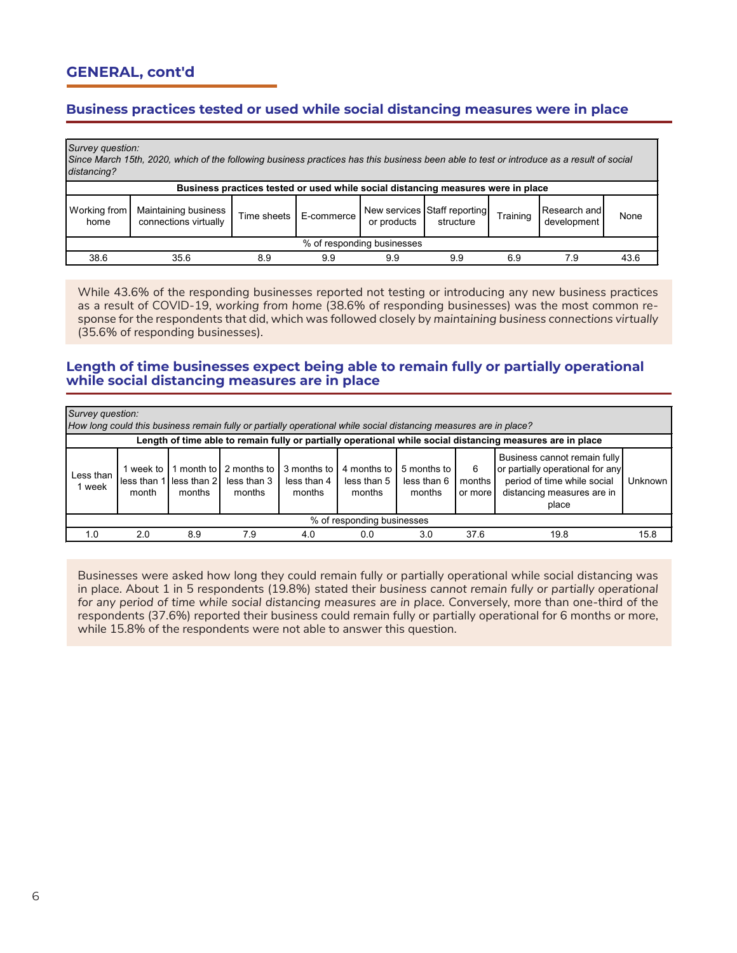# **GENERAL, cont'd**

# **Business practices tested or used while social distancing measures were in place**

| distancing?                                                                      | Survey question:<br>Since March 15th, 2020, which of the following business practices has this business been able to test or introduce as a result of social |             |            |                            |                                           |          |                             |      |  |  |
|----------------------------------------------------------------------------------|--------------------------------------------------------------------------------------------------------------------------------------------------------------|-------------|------------|----------------------------|-------------------------------------------|----------|-----------------------------|------|--|--|
| Business practices tested or used while social distancing measures were in place |                                                                                                                                                              |             |            |                            |                                           |          |                             |      |  |  |
| Working from<br>home                                                             | Maintaining business<br>connections virtually                                                                                                                | Time sheets | E-commerce | or products                | New services Staff reporting<br>structure | Training | Research and<br>development | None |  |  |
|                                                                                  |                                                                                                                                                              |             |            | % of responding businesses |                                           |          |                             |      |  |  |
| 38.6                                                                             | 35.6                                                                                                                                                         | 8.9         | 9.9        | 9.9                        | 9.9                                       | 6.9      | 7.9                         | 43.6 |  |  |

While 43.6% of the responding businesses reported not testing or introducing any new business practices as a result of COVID-19, *working from home* (38.6% of responding businesses) was the most common response for the respondents that did, which was followed closely by *maintaining business connections virtually*  (35.6% of responding businesses).

#### **Length of time businesses expect being able to remain fully or partially operational while social distancing measures are in place**

|                                                                                                            | Survey question:<br>How long could this business remain fully or partially operational while social distancing measures are in place? |        |                                                             |                                      |                                      |                                      |                        |                                                                                                                                        |         |  |  |
|------------------------------------------------------------------------------------------------------------|---------------------------------------------------------------------------------------------------------------------------------------|--------|-------------------------------------------------------------|--------------------------------------|--------------------------------------|--------------------------------------|------------------------|----------------------------------------------------------------------------------------------------------------------------------------|---------|--|--|
| Length of time able to remain fully or partially operational while social distancing measures are in place |                                                                                                                                       |        |                                                             |                                      |                                      |                                      |                        |                                                                                                                                        |         |  |  |
| Less than<br>1 week                                                                                        | week to<br>less than 1<br>month                                                                                                       | months | 1 month to 2 months to<br>less than 2 less than 3<br>months | 3 months to<br>less than 4<br>months | 4 months to<br>less than 5<br>months | 5 months to<br>less than 6<br>months | 6<br>months<br>or more | Business cannot remain fully<br>or partially operational for any<br>period of time while social<br>distancing measures are in<br>place | Unknown |  |  |
|                                                                                                            | % of responding businesses                                                                                                            |        |                                                             |                                      |                                      |                                      |                        |                                                                                                                                        |         |  |  |
| 1.0                                                                                                        | 2.0                                                                                                                                   | 8.9    | 7.9                                                         | 4.0                                  | 0.0                                  | 3.0                                  | 37.6                   | 19.8                                                                                                                                   | 15.8    |  |  |

Businesses were asked how long they could remain fully or partially operational while social distancing was in place. About 1 in 5 respondents (19.8%) stated their *business cannot remain fully or partially operational for any period of time while social distancing measures are in place.* Conversely, more than one-third of the respondents (37.6%) reported their business could remain fully or partially operational for 6 months or more, while 15.8% of the respondents were not able to answer this question.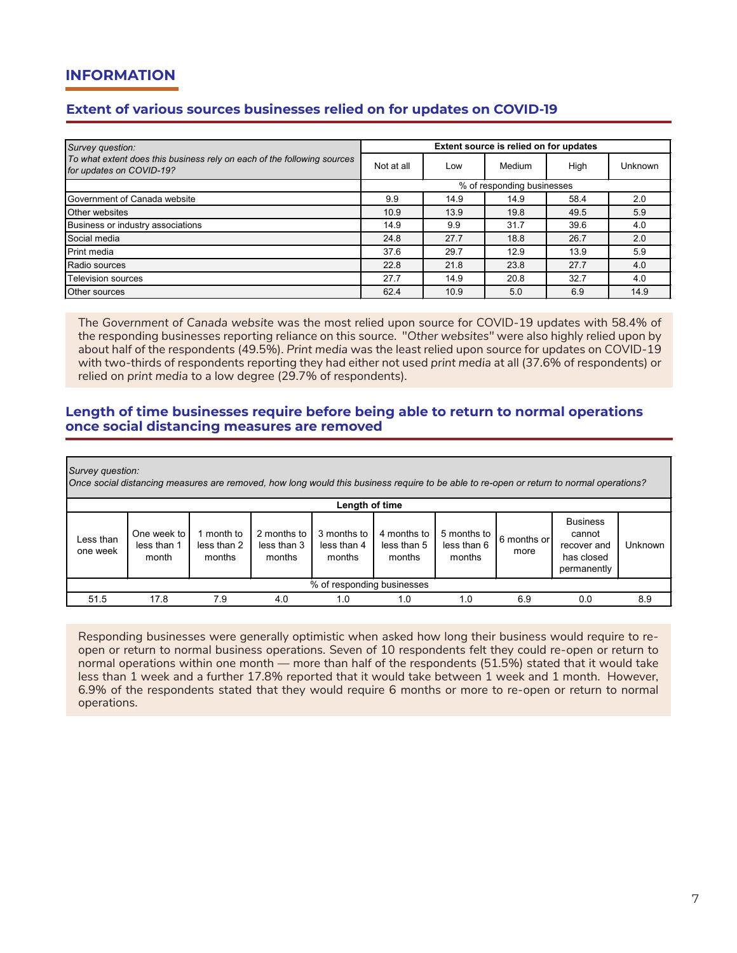# **INFORMATION**

# **Extent of various sources businesses relied on for updates on COVID-19**

| Survey question:                                                                                    | Extent source is relied on for updates |      |        |      |         |  |
|-----------------------------------------------------------------------------------------------------|----------------------------------------|------|--------|------|---------|--|
| To what extent does this business rely on each of the following sources<br>for updates on COVID-19? | Not at all                             | Low  | Medium | High | Unknown |  |
|                                                                                                     | % of responding businesses             |      |        |      |         |  |
| <b>I</b> Government of Canada website                                                               | 9.9                                    | 14.9 | 14.9   | 58.4 | 2.0     |  |
| Other websites                                                                                      | 10.9                                   | 13.9 | 19.8   | 49.5 | 5.9     |  |
| Business or industry associations                                                                   | 14.9                                   | 9.9  | 31.7   | 39.6 | 4.0     |  |
| Social media                                                                                        | 24.8                                   | 27.7 | 18.8   | 26.7 | 2.0     |  |
| <b>Print media</b>                                                                                  | 37.6                                   | 29.7 | 12.9   | 13.9 | 5.9     |  |
| Radio sources                                                                                       | 22.8                                   | 21.8 | 23.8   | 27.7 | 4.0     |  |
| Television sources                                                                                  | 27.7                                   | 14.9 | 20.8   | 32.7 | 4.0     |  |
| Other sources                                                                                       | 62.4                                   | 10.9 | 5.0    | 6.9  | 14.9    |  |

The *Government of Canada website* was the most relied upon source for COVID-19 updates with 58.4% of the responding businesses reporting reliance on this source. "*Other websites"* were also highly relied upon by about half of the respondents (49.5%). *Print media* was the least relied upon source for updates on COVID-19 with two-thirds of respondents reporting they had either not used *print media* at all (37.6% of respondents) or relied on *print media* to a low degree (29.7% of respondents).

#### **Length of time businesses require before being able to return to normal operations once social distancing measures are removed**

*Survey question:*

*Once social distancing measures are removed, how long would this business require to be able to re-open or return to normal operations?*

| Length of time             |                                     |                                     |                                      |                                      |                                      |                                      |                     |                                                                       |         |
|----------------------------|-------------------------------------|-------------------------------------|--------------------------------------|--------------------------------------|--------------------------------------|--------------------------------------|---------------------|-----------------------------------------------------------------------|---------|
| Less than<br>one week      | One week to<br>less than 1<br>month | l month to<br>less than 2<br>months | 2 months to<br>less than 3<br>months | 3 months to<br>less than 4<br>months | 4 months to<br>less than 5<br>months | 5 months to<br>less than 6<br>months | 6 months or<br>more | <b>Business</b><br>cannot<br>recover and<br>has closed<br>permanently | Unknown |
| % of responding businesses |                                     |                                     |                                      |                                      |                                      |                                      |                     |                                                                       |         |
| 51.5                       | 17.8                                | 7.9                                 | 4.0                                  | 1.0                                  | 1.0                                  | 1.0                                  | 6.9                 | 0.0                                                                   | 8.9     |

Responding businesses were generally optimistic when asked how long their business would require to reopen or return to normal business operations. Seven of 10 respondents felt they could re-open or return to normal operations within one month — more than half of the respondents (51.5%) stated that it would take less than 1 week and a further 17.8% reported that it would take between 1 week and 1 month. However, 6.9% of the respondents stated that they would require 6 months or more to re-open or return to normal operations.